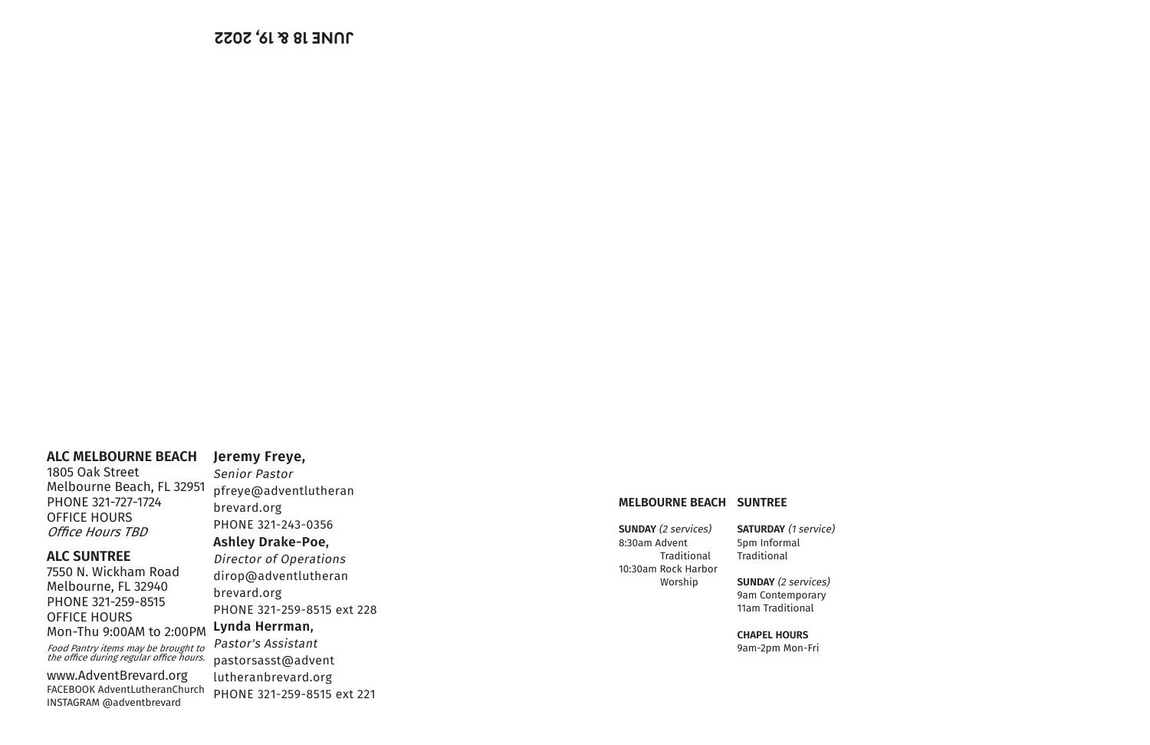**MELBOURNE BEACH SUNTREE**

**SUNDAY** (2 services) 8:30am Advent Traditional 10:30am Rock Harbor Worship

#### **SATURDAY** (1 service) 5pm Informal Traditional

**SUNDAY** (2 services) 9am Contemporary 11am Traditional

**CHAPEL HOURS** 9am-2pm Mon-Fri

# **Jeremy Freye,**

Senior Pastor pfreye@adventlutheran brevard.org PHONE 321-243-0356 **Ashley Drake-Poe,**  Director of Operations dirop@adventlutheran brevard.org PHONE 321-259-8515 ext 228 **Lynda Herrman,**  Pastor's Assistant pastorsasst@advent lutheranbrevard.org

PHONE 321-259-8515 ext 221

## **ALC MELBOURNE BEACH**

1805 Oak Street Melbourne Beach, FL 32951 PHONE 321-727-1724 OFFICE HOURS Office Hours TBD

## **ALC SUNTREE**

7550 N. Wickham Road Melbourne, FL 32940 PHONE 321-259-8515 OFFICE HOURS Mon-Thu 9:00AM to 2:00PM

Food Pantry items may be brought to the office during regular office hours.

www.AdventBrevard.org FACEBOOK AdventLutheranChurch INSTAGRAM @adventbrevard